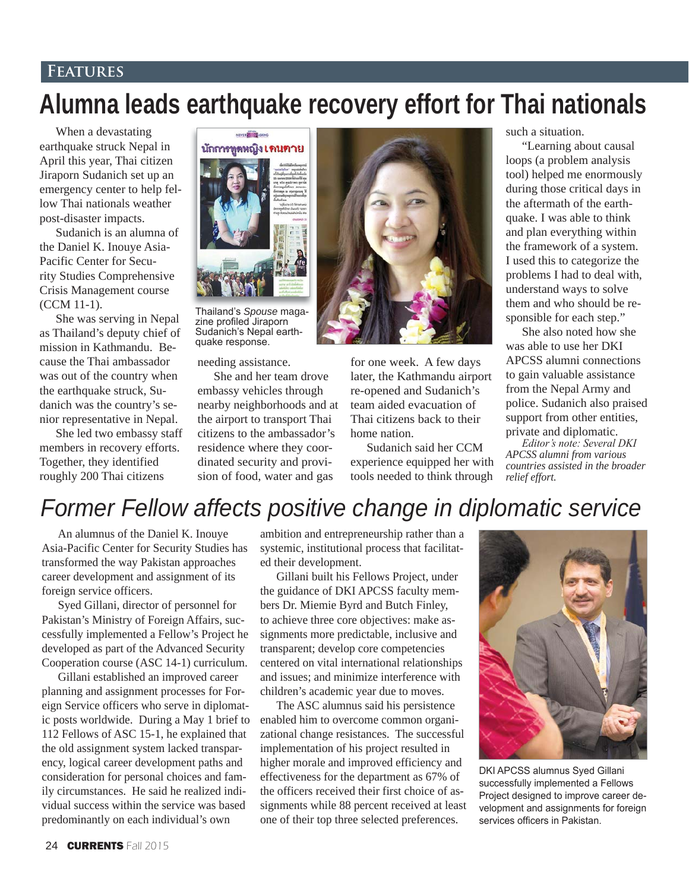## **Features**

## **Alumna leads earthquake recovery effort for Thai nationals**

When a devastating earthquake struck Nepal in April this year, Thai citizen Jiraporn Sudanich set up an emergency center to help fellow Thai nationals weather post-disaster impacts.

Sudanich is an alumna of the Daniel K. Inouye Asia-Pacific Center for Security Studies Comprehensive Crisis Management course (CCM 11-1).

She was serving in Nepal as Thailand's deputy chief of mission in Kathmandu. Because the Thai ambassador was out of the country when the earthquake struck, Sudanich was the country's senior representative in Nepal.

She led two embassy staff members in recovery efforts. Together, they identified roughly 200 Thai citizens



Thailand's Spouse magazine profiled Jiraporn Sudanich's Nepal earthquake response.

needing assistance.

She and her team drove embassy vehicles through nearby neighborhoods and at the airport to transport Thai citizens to the ambassador's residence where they coordinated security and provision of food, water and gas



for one week. A few days later, the Kathmandu airport re-opened and Sudanich's team aided evacuation of Thai citizens back to their home nation.

Sudanich said her CCM experience equipped her with tools needed to think through

such a situation.

"Learning about causal loops (a problem analysis tool) helped me enormously during those critical days in the aftermath of the earthquake. I was able to think and plan everything within the framework of a system. I used this to categorize the problems I had to deal with, understand ways to solve them and who should be responsible for each step."

She also noted how she was able to use her DKI APCSS alumni connections to gain valuable assistance from the Nepal Army and police. Sudanich also praised support from other entities, private and diplomatic.

 $E$ ditor's note: Several DKI *APCSS alumni from various countries assisted in the broader relief effort.*

## *Former Fellow affects positive change in diplomatic service*

An alumnus of the Daniel K. Inouye Asia-Pacific Center for Security Studies has transformed the way Pakistan approaches career development and assignment of its foreign service officers.

Syed Gillani, director of personnel for Pakistan's Ministry of Foreign Affairs, successfully implemented a Fellow's Project he developed as part of the Advanced Security Cooperation course (ASC 14-1) curriculum.

Gillani established an improved career planning and assignment processes for Foreign Service officers who serve in diplomatic posts worldwide. During a May 1 brief to 112 Fellows of ASC 15-1, he explained that the old assignment system lacked transparency, logical career development paths and consideration for personal choices and family circumstances. He said he realized individual success within the service was based predominantly on each individual's own

ambition and entrepreneurship rather than a systemic, institutional process that facilitated their development.

Gillani built his Fellows Project, under the guidance of DKI APCSS faculty members Dr. Miemie Byrd and Butch Finley, to achieve three core objectives: make assignments more predictable, inclusive and transparent; develop core competencies centered on vital international relationships and issues; and minimize interference with children's academic year due to moves.

The ASC alumnus said his persistence enabled him to overcome common organizational change resistances. The successful implementation of his project resulted in higher morale and improved efficiency and effectiveness for the department as 67% of the officers received their first choice of assignments while 88 percent received at least one of their top three selected preferences.



DKI APCSS alumnus Syed Gillani successfully implemented a Fellows Project designed to improve career development and assignments for foreign services officers in Pakistan.